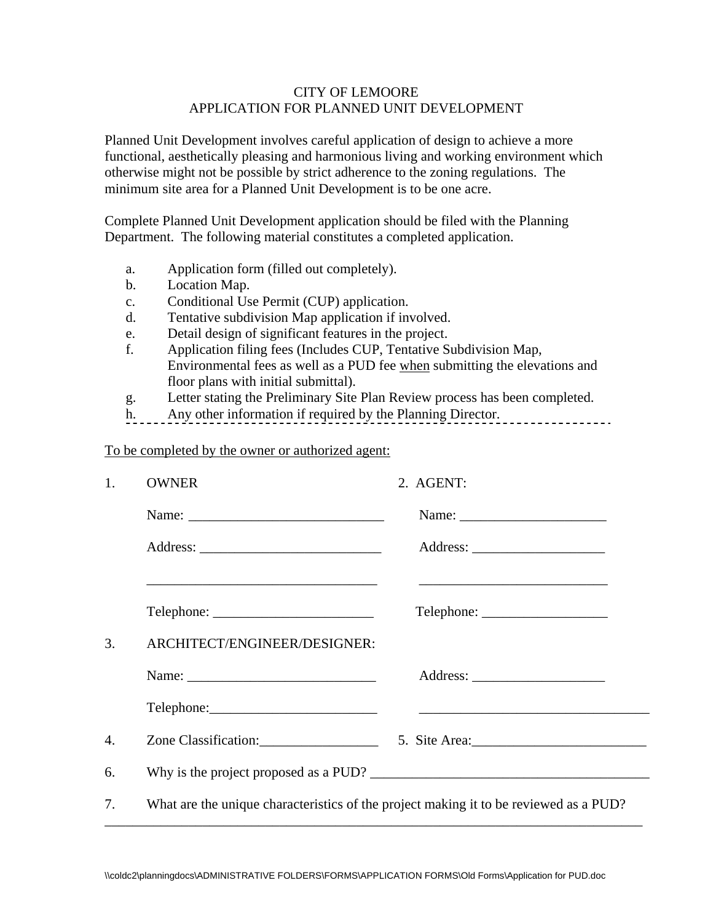## CITY OF LEMOORE APPLICATION FOR PLANNED UNIT DEVELOPMENT

Planned Unit Development involves careful application of design to achieve a more functional, aesthetically pleasing and harmonious living and working environment which otherwise might not be possible by strict adherence to the zoning regulations. The minimum site area for a Planned Unit Development is to be one acre.

Complete Planned Unit Development application should be filed with the Planning Department. The following material constitutes a completed application.

- a. Application form (filled out completely).
- b. Location Map.
- c. Conditional Use Permit (CUP) application.
- d. Tentative subdivision Map application if involved.
- e. Detail design of significant features in the project.
- f. Application filing fees (Includes CUP, Tentative Subdivision Map, Environmental fees as well as a PUD fee when submitting the elevations and floor plans with initial submittal).
- g. Letter stating the Preliminary Site Plan Review process has been completed.
- h. Any other information if required by the Planning Director.

To be completed by the owner or authorized agent:

| 1. | <b>OWNER</b>                 | 2. AGENT:                                                                             |
|----|------------------------------|---------------------------------------------------------------------------------------|
|    |                              |                                                                                       |
|    |                              |                                                                                       |
|    |                              | <u> 1989 - Johann Stoff, amerikansk politiker (d. 1989)</u>                           |
| 3. | ARCHITECT/ENGINEER/DESIGNER: |                                                                                       |
|    |                              |                                                                                       |
|    |                              |                                                                                       |
| 4. |                              |                                                                                       |
| 6. |                              |                                                                                       |
| 7. |                              | What are the unique characteristics of the project making it to be reviewed as a PUD? |